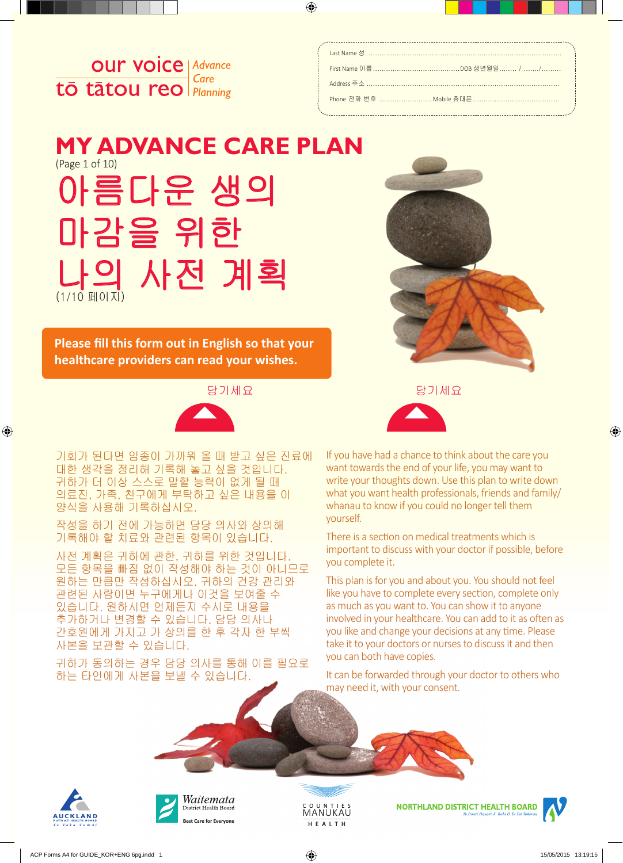

# 아름다운 생의 마감을 위한 나의 사전 계획 (1/10 페이지) **MY ADVANCE CARE PLAN**  (Page 1 of 10)

**Please fill this form out in English so that your healthcare providers can read your wishes.**



기회가 된다면 임종이 가까워 올 때 받고 싶은 진료에 대한 생각을 정리해 기록해 놓고 싶을 것입니다. 귀하가 더 이상 스스로 말할 능력이 없게 될 때 의료진, 가족, 친구에게 부탁하고 싶은 내용을 이 양식을 사용해 기록하십시오.

작성을 하기 전에 가능하면 담당 의사와 상의해 기록해야 할 치료와 관련된 항목이 있습니다.

사전 계획은 귀하에 관한, 귀하를 위한 것입니다. 모든 항목을 빠짐 없이 작성해야 하는 것이 아니므로 원하는 만큼만 작성하십시오. 귀하의 건강 관리와 관련된 사람이면 누구에게나 이것을 보여줄 수 있습니다. 원하시면 언제든지 수시로 내용을 추가하거나 변경할 수 있습니다. 담당 의사나 간호원에게 가지고 가 상의를 한 후 각자 한 부씩 사본을 보관할 수 있습니다.

귀하가 동의하는 경우 담당 의사를 통해 이를 필요로 하는 타인에게 사본을 보낼 수 있습니다.





If you have had a chance to think about the care you want towards the end of your life, you may want to write your thoughts down. Use this plan to write down what you want health professionals, friends and family/ whanau to know if you could no longer tell them yourself.

There is a section on medical treatments which is important to discuss with your doctor if possible, before you complete it.

This plan is for you and about you. You should not feel like you have to complete every section, complete only as much as you want to. You can show it to anyone involved in your healthcare. You can add to it as often as you like and change your decisions at any time. Please take it to your doctors or nurses to discuss it and then you can both have copies.

It can be forwarded through your doctor to others who may need it, with your consent.







**NORTHLAND DISTRICT HEALTH BOARD** 

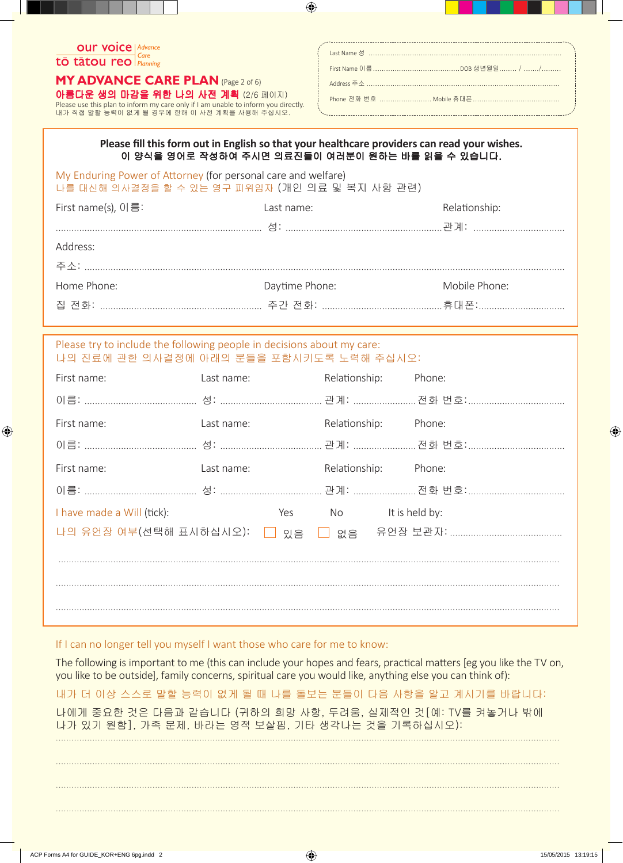### **OUT VOICE | Advance**  $\overline{\text{t\bar{o}}\text{ t\bar{a}}\text{tou reo}}$   $\overline{\text{care}}$

**MY ADVANCE CARE PLAN (Page 2 of 6)** 아름다운 생의 마감을 위한 나의 사전 계획 (2/6 페이지)

Please use this plan to inform my care only if I am unable to inform you directly.<br>내가 직접 말할 능력이 없게 될 경우에 한해 이 사전 계획을 사용해 주십시오.

#### Please fill this form out in English so that your healthcare providers can read your wishes. 이 양식을 영어로 작성하여 주시면 의료진들이 여러분이 원하는 바를 읽을 수 있습니다.

My Enduring Power of Attorney (for personal care and welfare) 나를 대신해 의사결정을 할 수 있는 영구 피위임자 (개인 의료 및 복지 사항 관련)

| First name(s), 이름: | Last name:     | Relationship: |
|--------------------|----------------|---------------|
|                    |                |               |
| Address:           |                |               |
|                    |                |               |
| Home Phone:        | Daytime Phone: | Mobile Phone: |
|                    |                |               |

#### Please try to include the following people in decisions about my care: 나의 진료에 관한 의사결정에 아래의 분들을 포함시키도록 노력해 주십시오:

| First name:                | Last name: |      | Relationship:        | Phone: |
|----------------------------|------------|------|----------------------|--------|
|                            |            |      |                      |        |
| First name:                | Last name: |      | Relationship:        | Phone: |
|                            |            |      |                      |        |
| First name:                | Last name: |      | Relationship: Phone: |        |
|                            |            |      |                      |        |
| I have made a Will (tick): |            | Yes  | No It is held by:    |        |
| 나의 유언장 여부(선택해 표시하십시오):     |            | □ 있음 |                      |        |
|                            |            |      |                      |        |
|                            |            |      |                      |        |
|                            |            |      |                      |        |

#### If I can no longer tell you myself I want those who care for me to know:

The following is important to me (this can include your hopes and fears, practical matters [eg you like the TV on, you like to be outside], family concerns, spiritual care you would like, anything else you can think of):

내가 더 이상 스스로 말할 능력이 없게 될 때 나를 돌보는 분들이 다음 사항을 알고 계시기를 바랍니다:

나에게 중요한 것은 다음과 같습니다 (귀하의 희망 사항, 두려움, 실제적인 것 [예: TV를 켜놓거나 밖에 나가 있기 원함]. 가족 문제, 바라는 영적 보살핌, 기타 생각나는 것을 기록하십시오):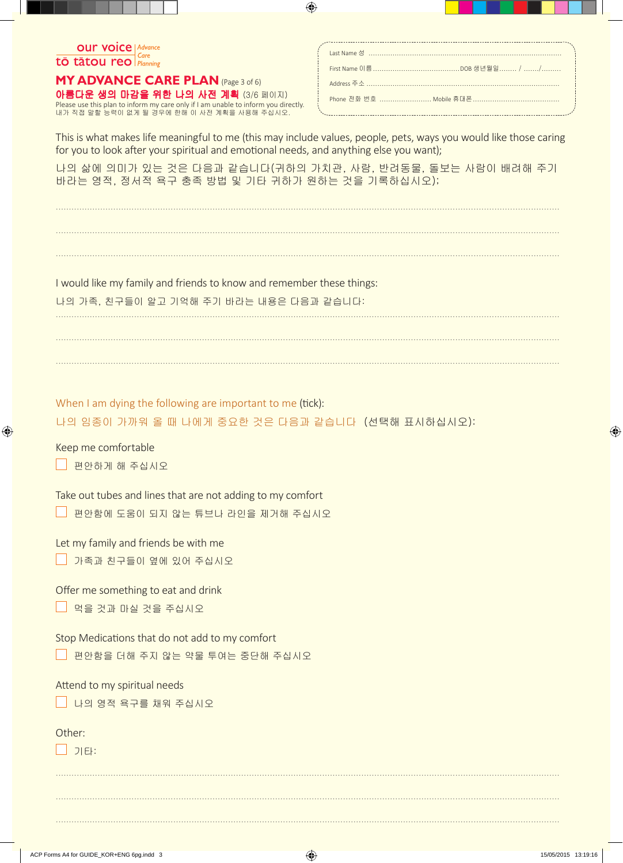

아름다운 생의 마감을 위한 나의 사전 계획 (3/6 페이지) **MY ADVANCE CARE PLAN** (Page 3 of 6)

Please use this plan to inform my care only if I am unable to inform you directly. 내가 직접 말할 능력이 없게 될 경우에 한해 이 사전 계획을 사용해 주십시오.

This is what makes life meaningful to me (this may include values, people, pets, ways you would like those caring for you to look after your spiritual and emotional needs, and anything else you want);

나의 삶에 의미가 있는 것은 다음과 같습니다(귀하의 가치관, 사람, 반려동물, 돌보는 사람이 배려해 주기 바라는 영적, 정서적 욕구 충족 방법 및 기타 귀하가 원하는 것을 기록하십시오);

.................................................................................................................................................................................................

.................................................................................................................................................................................................

.................................................................................................................................................................................................

I would like my family and friends to know and remember these things:

나의 가족, 친구들이 알고 기억해 주기 바라는 내용은 다음과 같습니다:

.................................................................................................................................................................................................

.................................................................................................................................................................................................

.................................................................................................................................................................................................

When I am dying the following are important to me (tick):

나의 임종이 가까워 올 때 나에게 중요한 것은 다음과 같습니다 (선택해 표시하십시오):

Keep me comfortable

<mark>」 편안하게 해 주십시오</mark>

Take out tubes and lines that are not adding to my comfort

편안함에 도움이 되지 않는 튜브나 라인을 제거해 주십시오

Let my family and friends be with me

|  |  |  |  |  | △ 가족과 친구들이 옆에 있어 주십시오. |
|--|--|--|--|--|------------------------|
|--|--|--|--|--|------------------------|

Offer me something to eat and drink

먹을 것과 마실 것을 주십시오

Stop Medications that do not add to my comfort

편안함을 더해 주지 않는 약물 투여는 중단해 주십시오

Attend to my spiritual needs

■ 나의 영적 욕구를 채워 주십시오

Other:

기타:

................................................................................................................................................................................................. ................................................................................................................................................................................................. .................................................................................................................................................................................................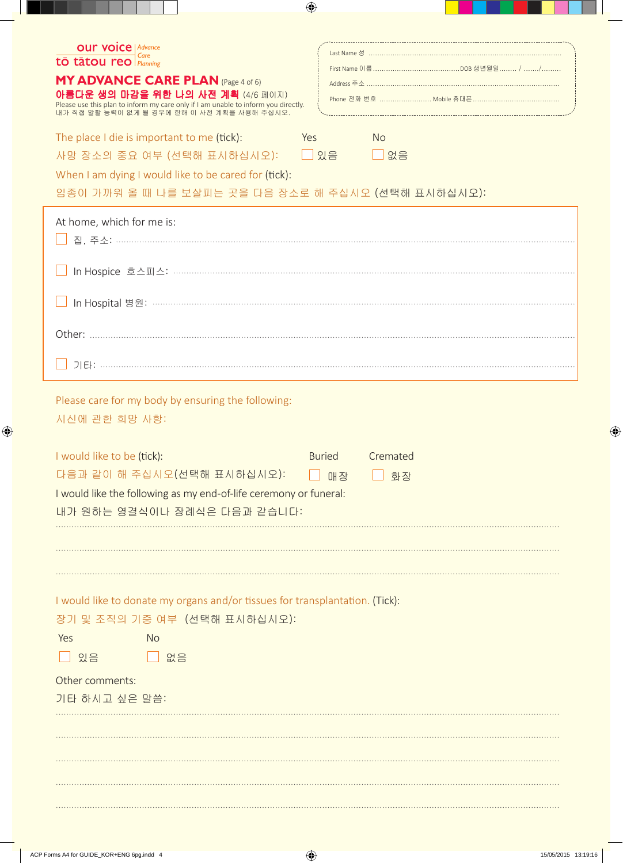| <b>OUIT VOICE   Advance</b><br>tō tātou reo Planning<br><b>MY ADVANCE CARE PLAN (Page 4 of 6)</b><br>아름다운 생의 마감을 위한 나의 사전 계획 (4/6 페이지)<br>Please use this plan to inform my care only if I am unable to inform you directly.<br>내가 직접 말할 능력이 없게 될 경우에 한해 이 사전 계획을 사용해 주십시오.<br>The place I die is important to me (tick):<br>Yes<br>사망 장소의 중요 여부 (선택해 표시하십시오): □□ 있음<br>When I am dying I would like to be cared for (tick):<br>임종이 가까워 올 때 나를 보살피는 곳을 다음 장소로 해 주십시오 (선택해 표시하십시오): | <b>No</b><br>$\Box$ 없음                  |  |  |  |
|------------------------------------------------------------------------------------------------------------------------------------------------------------------------------------------------------------------------------------------------------------------------------------------------------------------------------------------------------------------------------------------------------------------------------------------------------------------------------------|-----------------------------------------|--|--|--|
| At home, which for me is:                                                                                                                                                                                                                                                                                                                                                                                                                                                          |                                         |  |  |  |
|                                                                                                                                                                                                                                                                                                                                                                                                                                                                                    |                                         |  |  |  |
|                                                                                                                                                                                                                                                                                                                                                                                                                                                                                    |                                         |  |  |  |
|                                                                                                                                                                                                                                                                                                                                                                                                                                                                                    |                                         |  |  |  |
| Please care for my body by ensuring the following:<br>시신에 관한 희망 사항:                                                                                                                                                                                                                                                                                                                                                                                                                |                                         |  |  |  |
| I would like to be (tick):<br>다음과 같이 해 주십시오(선택해 표시하십시오):<br>I would like the following as my end-of-life ceremony or funeral:<br>내가 원하는 영결식이나 장례식은 다음과 같습니다:                                                                                                                                                                                                                                                                                                                       | Cremated<br><b>Buried</b><br>□ 매장<br>화장 |  |  |  |
| I would like to donate my organs and/or tissues for transplantation. (Tick):<br>장기 및 조직의 기증 여부 (선택해 표시하십시오):<br>Yes<br><b>No</b><br>$\Box$ 있음<br>$\Box$ 없음<br>Other comments:<br>기타 하시고 싶은 말씀:                                                                                                                                                                                                                                                                                     |                                         |  |  |  |
|                                                                                                                                                                                                                                                                                                                                                                                                                                                                                    |                                         |  |  |  |
|                                                                                                                                                                                                                                                                                                                                                                                                                                                                                    |                                         |  |  |  |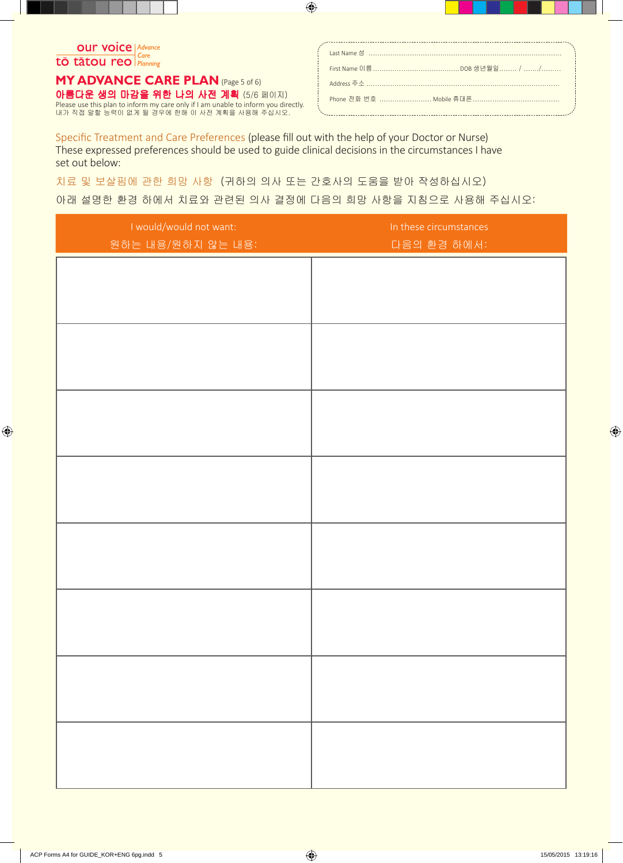## **OUT VOICE | Advance** tō tātou reo

아름다운 생의 마감을 위한 나의 사전 계획 (5/6 페이지) **MY ADVANCE CARE PLAN** (Page 5 of 6) Please use this plan to inform my care only if I am unable to inform you directly. 내가 직접 말할 능력이 없게 될 경우에 한해 이 사전 계획을 사용해 주십시오.

Specific Treatment and Care Preferences (please fill out with the help of your Doctor or Nurse) These expressed preferences should be used to guide clinical decisions in the circumstances I have set out below:

치료 및 보살핌에 관한 희망 사항 (귀하의 의사 또는 간호사의 도움을 받아 작성하십시오)

# 아래 설명한 환경 하에서 치료와 관련된 의사 결정에 다음의 희망 사항을 지침으로 사용해 주십시오:

| I would/would not want: | In these circumstances |
|-------------------------|------------------------|
| 원하는 내용/원하지 않는 내용:       | 다음의 환경 하에서:            |
|                         |                        |
|                         |                        |
|                         |                        |
|                         |                        |
|                         |                        |
|                         |                        |
|                         |                        |
|                         |                        |
|                         |                        |
|                         |                        |
|                         |                        |
|                         |                        |
|                         |                        |
|                         |                        |
|                         |                        |
|                         |                        |
|                         |                        |
|                         |                        |
|                         |                        |
|                         |                        |
|                         |                        |
|                         |                        |
|                         |                        |
|                         |                        |